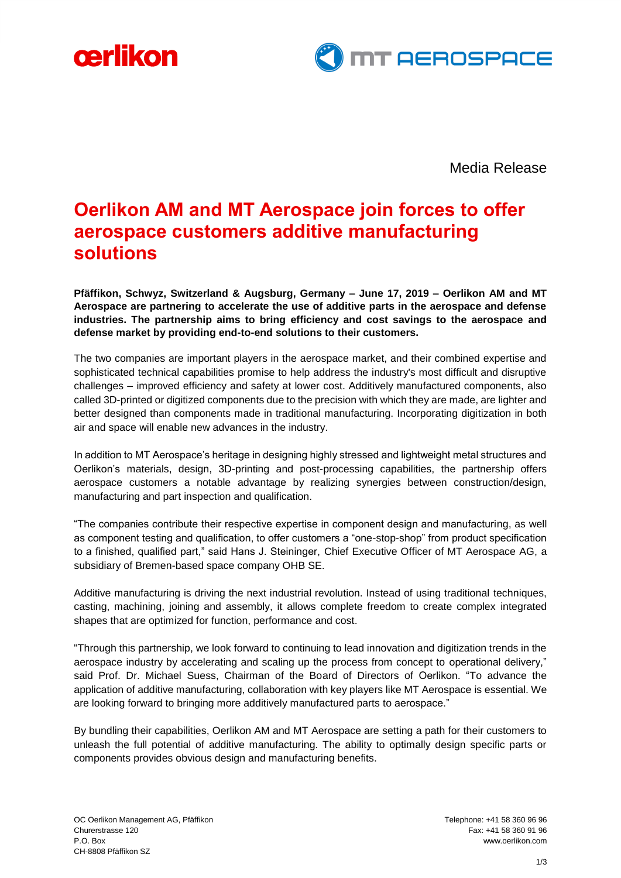



Media Release

# **Oerlikon AM and MT Aerospace join forces to offer aerospace customers additive manufacturing solutions**

**Pfäffikon, Schwyz, Switzerland & Augsburg, Germany – June 17, 2019 – Oerlikon AM and MT Aerospace are partnering to accelerate the use of additive parts in the aerospace and defense industries. The partnership aims to bring efficiency and cost savings to the aerospace and defense market by providing end-to-end solutions to their customers.**

The two companies are important players in the aerospace market, and their combined expertise and sophisticated technical capabilities promise to help address the industry's most difficult and disruptive challenges – improved efficiency and safety at lower cost. Additively manufactured components, also called 3D-printed or digitized components due to the precision with which they are made, are lighter and better designed than components made in traditional manufacturing. Incorporating digitization in both air and space will enable new advances in the industry.

In addition to MT Aerospace's heritage in designing highly stressed and lightweight metal structures and Oerlikon's materials, design, 3D-printing and post-processing capabilities, the partnership offers aerospace customers a notable advantage by realizing synergies between construction/design, manufacturing and part inspection and qualification.

"The companies contribute their respective expertise in component design and manufacturing, as well as component testing and qualification, to offer customers a "one-stop-shop" from product specification to a finished, qualified part," said Hans J. Steininger, Chief Executive Officer of MT Aerospace AG, a subsidiary of Bremen-based space company OHB SE.

Additive manufacturing is driving the next industrial revolution. Instead of using traditional techniques, casting, machining, joining and assembly, it allows complete freedom to create complex integrated shapes that are optimized for function, performance and cost.

"Through this partnership, we look forward to continuing to lead innovation and digitization trends in the aerospace industry by accelerating and scaling up the process from concept to operational delivery," said Prof. Dr. Michael Suess, Chairman of the Board of Directors of Oerlikon. "To advance the application of additive manufacturing, collaboration with key players like MT Aerospace is essential. We are looking forward to bringing more additively manufactured parts to aerospace."

By bundling their capabilities, Oerlikon AM and MT Aerospace are setting a path for their customers to unleash the full potential of additive manufacturing. The ability to optimally design specific parts or components provides obvious design and manufacturing benefits.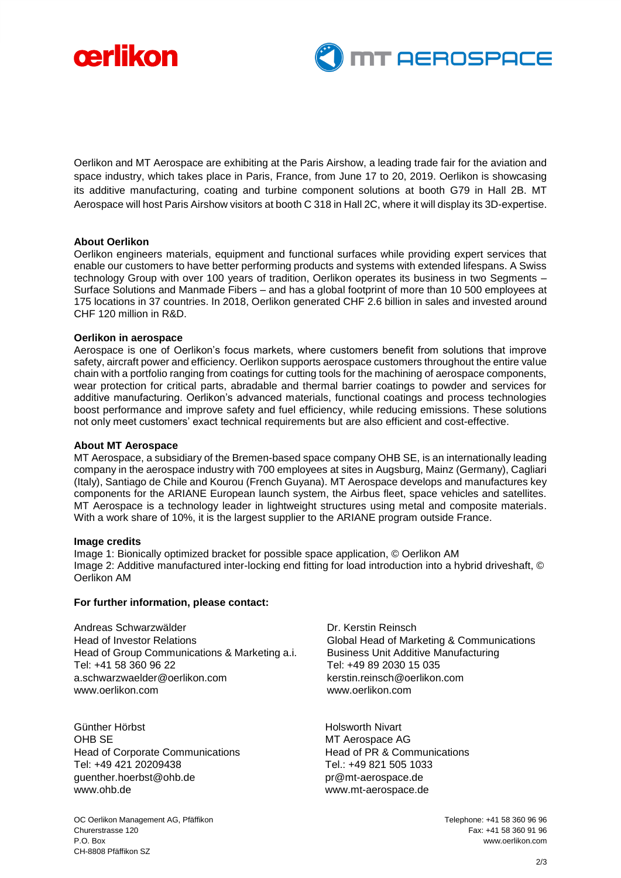



Oerlikon and MT Aerospace are exhibiting at the Paris Airshow, a leading trade fair for the aviation and space industry, which takes place in Paris, France, from June 17 to 20, 2019. Oerlikon is showcasing its additive manufacturing, coating and turbine component solutions at booth G79 in Hall 2B. MT Aerospace will host Paris Airshow visitors at booth C 318 in Hall 2C, where it will display its 3D-expertise.

## **About Oerlikon**

Oerlikon engineers materials, equipment and functional surfaces while providing expert services that enable our customers to have better performing products and systems with extended lifespans. A Swiss technology Group with over 100 years of tradition, Oerlikon operates its business in two Segments – Surface Solutions and Manmade Fibers – and has a global footprint of more than 10 500 employees at 175 locations in 37 countries. In 2018, Oerlikon generated CHF 2.6 billion in sales and invested around CHF 120 million in R&D.

### **Oerlikon in aerospace**

Aerospace is one of Oerlikon's focus markets, where customers benefit from solutions that improve safety, aircraft power and efficiency. Oerlikon supports aerospace customers throughout the entire value chain with a portfolio ranging from coatings for cutting tools for the machining of aerospace components, wear protection for critical parts, abradable and thermal barrier coatings to powder and services for additive manufacturing. Oerlikon's advanced materials, functional coatings and process technologies boost performance and improve safety and fuel efficiency, while reducing emissions. These solutions not only meet customers' exact technical requirements but are also efficient and cost-effective.

### **About MT Aerospace**

MT Aerospace, a subsidiary of the Bremen-based space company OHB SE, is an internationally leading company in the aerospace industry with 700 employees at sites in Augsburg, Mainz (Germany), Cagliari (Italy), Santiago de Chile and Kourou (French Guyana). MT Aerospace develops and manufactures key components for the ARIANE European launch system, the Airbus fleet, space vehicles and satellites. MT Aerospace is a technology leader in lightweight structures using metal and composite materials. With a work share of 10%, it is the largest supplier to the ARIANE program outside France.

#### **Image credits**

Image 1: Bionically optimized bracket for possible space application, © Oerlikon AM Image 2: Additive manufactured inter-locking end fitting for load introduction into a hybrid driveshaft, © Oerlikon AM

### **For further information, please contact:**

Andreas Schwarzwälder Head of Investor Relations Head of Group Communications & Marketing a.i. Tel: +41 58 360 96 22 a.schwarzwaelder@oerlikon.com www.oerlikon.com

Günther Hörbst OHB SE Head of Corporate Communications Tel: +49 421 20209438 guenther.hoerbst@ohb.de [www.ohb.de](http://www.ohb.de/)

Dr. Kerstin Reinsch Global Head of Marketing & Communications Business Unit Additive Manufacturing Tel: +49 89 2030 15 035 kerstin.reinsch@oerlikon.com www.oerlikon.com

Holsworth Nivart MT Aerospace AG Head of PR & Communications Tel.: +49 821 505 1033 [pr@mt-aerospace.de](mailto:pr@mt-aerospace.de) [www.mt-aerospace.de](http://www.mt-aerospace.de/) 

OC Oerlikon Management AG, Pfäffikon Telephone: +41 58 360 96 96 Churerstrasse 120 Fax: +41 58 360 91 96 P.O. Box www.oerlikon.com CH-8808 Pfäffikon SZ